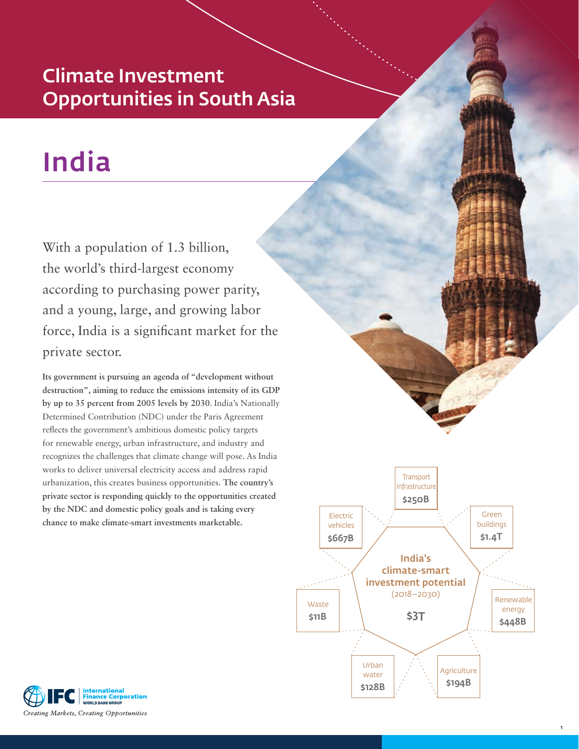# Climate Investment Opportunities in South Asia

# India

With a population of 1.3 billion, the world's third-largest economy according to purchasing power parity, and a young, large, and growing labor force, India is a significant market for the private sector.

**Its government is pursuing an agenda of "development without destruction", aiming to reduce the emissions intensity of its GDP by up to 35 percent from 2005 levels by 2030**. India's Nationally Determined Contribution (NDC) under the Paris Agreement reflects the government's ambitious domestic policy targets for renewable energy, urban infrastructure, and industry and recognizes the challenges that climate change will pose. As India works to deliver universal electricity access and address rapid urbanization, this creates business opportunities. **The country's private sector is responding quickly to the opportunities created by the NDC and domestic policy goals and is taking every chance to make climate-smart investments marketable.**



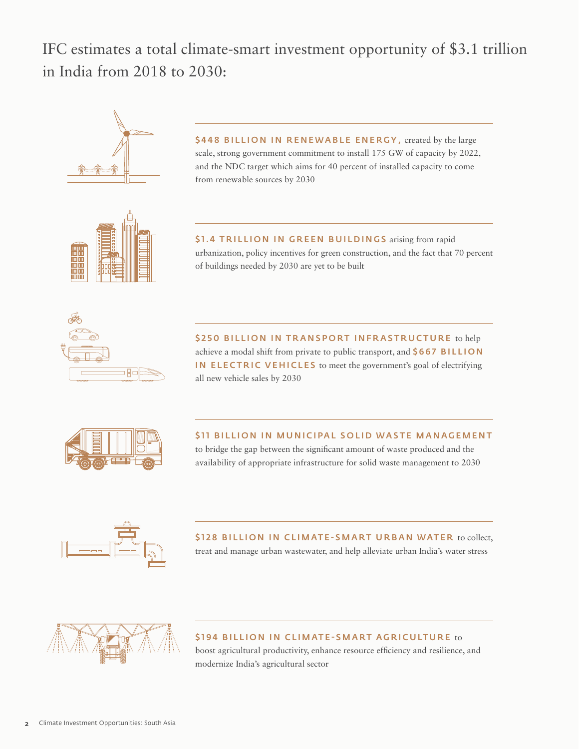IFC estimates a total climate-smart investment opportunity of \$3.1 trillion in India from 2018 to 2030:



\$448 BILLION IN RENEWABLE ENERGY, created by the large scale, strong government commitment to install 175 GW of capacity by 2022, and the NDC target which aims for 40 percent of installed capacity to come from renewable sources by 2030



\$1.4 TRILLION IN GREEN BUILDINGS arising from rapid urbanization, policy incentives for green construction, and the fact that 70 percent of buildings needed by 2030 are yet to be built



\$250 BILLION IN TRANSPORT INFRASTRUCTURE to help achieve a modal shift from private to public transport, and \$667 BILLION IN ELECTRIC VEHICLES to meet the government's goal of electrifying all new vehicle sales by 2030



\$11 BILLION IN MUNICIPAL SOLID WASTE MANAGEMENT to bridge the gap between the significant amount of waste produced and the availability of appropriate infrastructure for solid waste management to 2030

\$128 BILLION IN CLIMATE-SMART URBAN WATER to collect, treat and manage urban wastewater, and help alleviate urban India's water stress



\$194 BILLION IN CLIMATE-SMART AGRICULTURE to

boost agricultural productivity, enhance resource efficiency and resilience, and modernize India's agricultural sector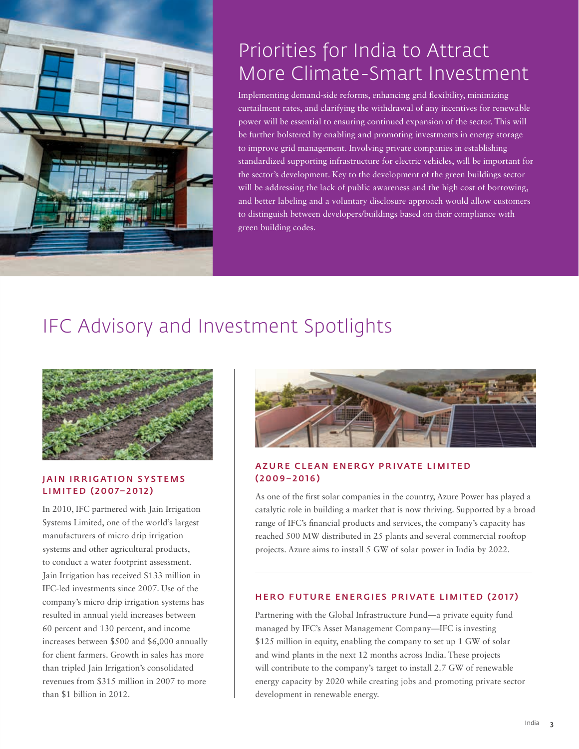

# Priorities for India to Attract More Climate-Smart Investment

Implementing demand-side reforms, enhancing grid flexibility, minimizing curtailment rates, and clarifying the withdrawal of any incentives for renewable power will be essential to ensuring continued expansion of the sector. This will be further bolstered by enabling and promoting investments in energy storage to improve grid management. Involving private companies in establishing standardized supporting infrastructure for electric vehicles, will be important for the sector's development. Key to the development of the green buildings sector will be addressing the lack of public awareness and the high cost of borrowing, and better labeling and a voluntary disclosure approach would allow customers to distinguish between developers/buildings based on their compliance with green building codes.

# IFC Advisory and Investment Spotlights



## JAIN IRRIGATION SYSTEMS LIMITED (2007–2012)

In 2010, IFC partnered with Jain Irrigation Systems Limited, one of the world's largest manufacturers of micro drip irrigation systems and other agricultural products, to conduct a water footprint assessment. Jain Irrigation has received \$133 million in IFC-led investments since 2007. Use of the company's micro drip irrigation systems has resulted in annual yield increases between 60 percent and 130 percent, and income increases between \$500 and \$6,000 annually for client farmers. Growth in sales has more than tripled Jain Irrigation's consolidated revenues from \$315 million in 2007 to more than \$1 billion in 2012.



## AZURE CLEAN ENERGY PRIVATE LIMITED (2009–2016)

As one of the first solar companies in the country, Azure Power has played a catalytic role in building a market that is now thriving. Supported by a broad range of IFC's financial products and services, the company's capacity has reached 500 MW distributed in 25 plants and several commercial rooftop projects. Azure aims to install 5 GW of solar power in India by 2022.

### HERO FUTURE ENERGIES PRIVATE LIMITED (2017)

Partnering with the Global Infrastructure Fund—a private equity fund managed by IFC's Asset Management Company—IFC is investing \$125 million in equity, enabling the company to set up 1 GW of solar and wind plants in the next 12 months across India. These projects will contribute to the company's target to install 2.7 GW of renewable energy capacity by 2020 while creating jobs and promoting private sector development in renewable energy.